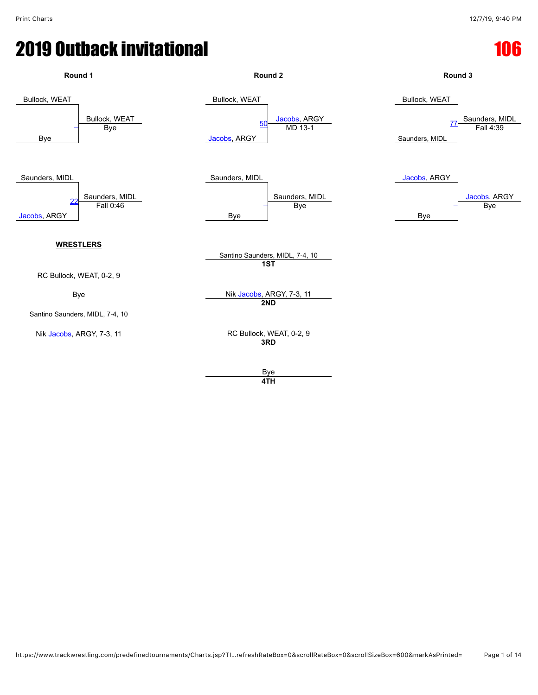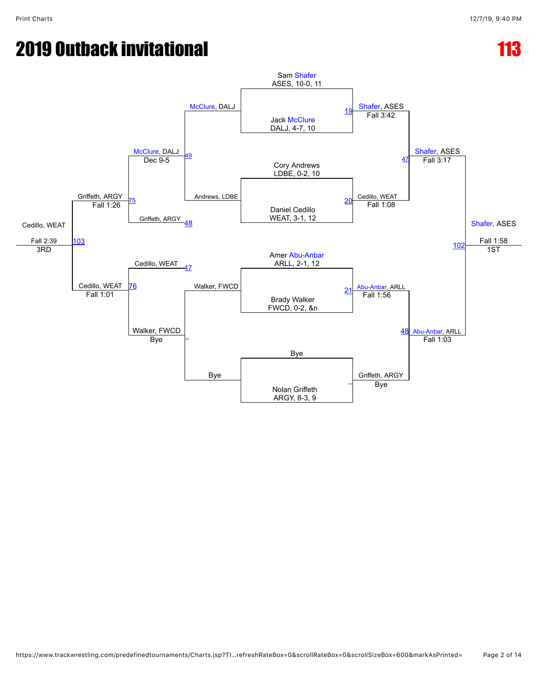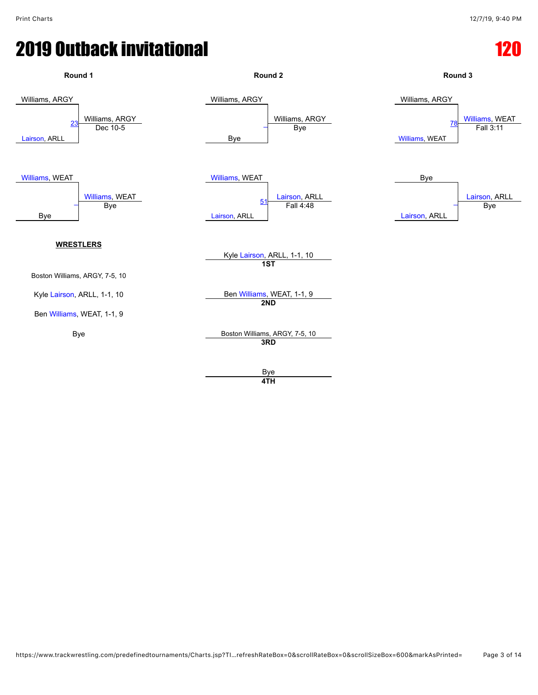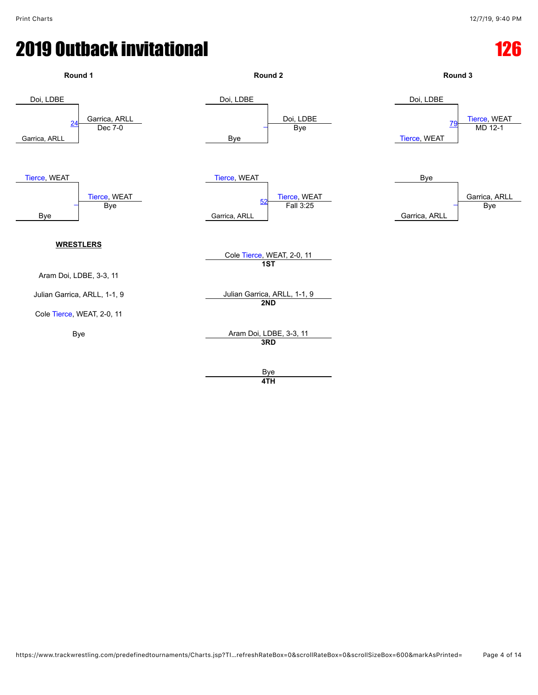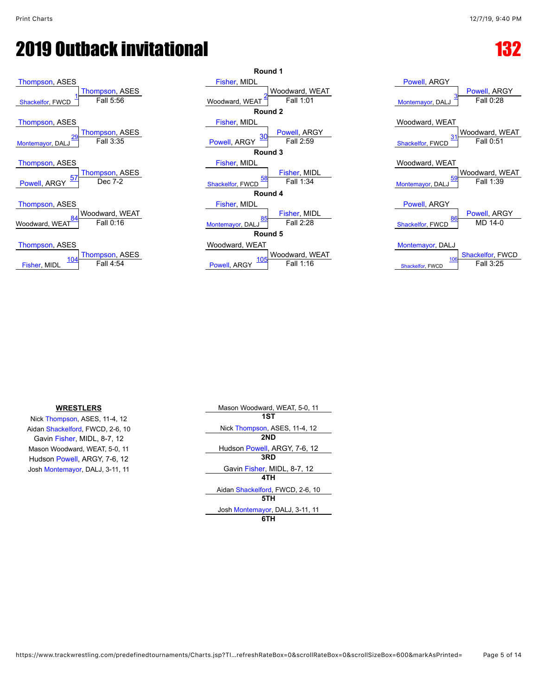



| $0$ well, $11001$<br>Powell, ARGY<br>Fall $0.28$<br>Montemayor, DALJ                |
|-------------------------------------------------------------------------------------|
| Woodward, WEAT<br>Woodward, WEAT<br>Fall 0:51                                       |
| 3.<br>Shackelfor, FWCD                                                              |
| Woodward, WEAT<br>Woodward, WEAT<br>Fall 1:39<br>59<br>Montemayor, DALJ             |
| <b>Powell, ARGY</b><br>Powell, ARGY<br>86<br>MD 14-0<br>Shackelfor, FWCD            |
| Montemayor, DALJ<br><b>Shackelfor, FWCD</b><br>106<br>Fall 3:25<br>Shackelfor, FWCD |

[Powell,](javascript:viewProfile(46385076)) ARGY

Nick [Thompson](javascript:viewProfile(1611302096)), ASES, 11-4, 12 **1ST** Gavin [Fisher,](javascript:viewProfile(377545132)) MIDL, 8-7, 12 **2ND** Hudson [Powell,](javascript:viewProfile(46385076)) ARGY, 7-6, 12

**WRESTLERS** Mason Woodward, WEAT, 5-0, 11 Aidan [Shackelford](javascript:viewProfile(138023135)), FWCD, 2-6, 10 Nick [Thompson](javascript:viewProfile(1611302096)), ASES, 11-4, 12 Mason Woodward, WEAT, 5-0, 11<br>
Hudson [Powell,](javascript:viewProfile(46385076)) ARGY, 7-6, 12<br>
Hudson Powell, ARGY, 7-6, 12 Josh [Montemayor](javascript:viewProfile(1173367096)), DALJ, 3-11, 11 Gavin [Fisher,](javascript:viewProfile(377545132)) MIDL, 8-7, 12 **4TH** Aidan [Shackelford](javascript:viewProfile(138023135)), FWCD, 2-6, 10 **5TH** Josh [Montemayor](javascript:viewProfile(1173367096)), DALJ, 3-11, 11 **6TH**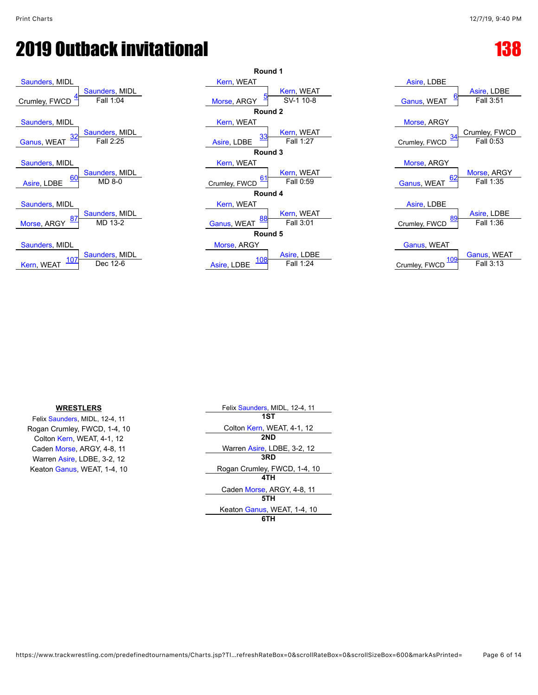





### **WRESTLERS**

Felix [Saunders](javascript:viewProfile(9452076)), MIDL, 12-4, 11 Rogan Crumley, FWCD, 1-4, 10 Colton [Kern,](javascript:viewProfile(21010107)) WEAT, 4-1, 12 Caden [Morse](javascript:viewProfile(73777009)), ARGY, 4-8, 11 Warren [Asire](javascript:viewProfile(628571132)), LDBE, 3-2, 12 Keaton [Ganus](javascript:viewProfile(162174132)), WEAT, 1-4, 10

| Felix Saunders, MIDL, 12-4, 11 |
|--------------------------------|
| 1ST                            |
| Colton Kern, WEAT, 4-1, 12     |
| 2ND                            |
| Warren Asire, LDBE, 3-2, 12    |
| 3RD                            |
| Rogan Crumley, FWCD, 1-4, 10   |
| 4TH                            |
| Caden Morse, ARGY, 4-8, 11     |
| 5TH                            |
| Keaton Ganus, WEAT, 1-4, 10    |
|                                |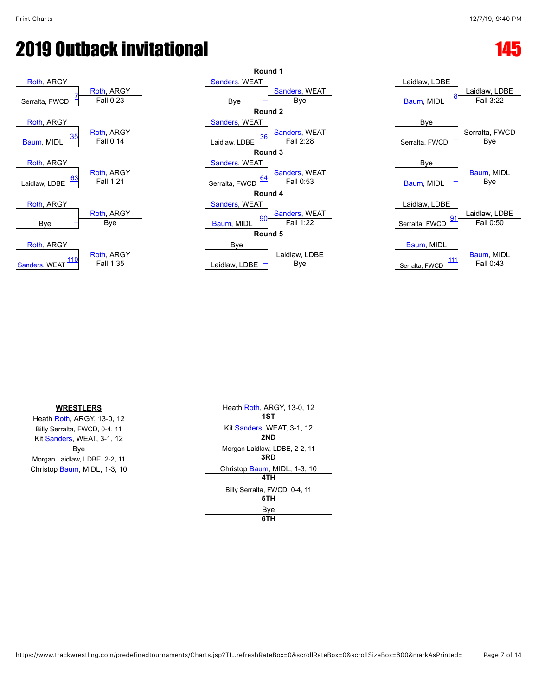



| Laidlaw, LDBE                |                            |
|------------------------------|----------------------------|
| <u>8</u><br>Baum, MIDL       | Laidlaw, LDBE<br>Fall 3:22 |
| Bye                          |                            |
|                              | Serralta, FWCD             |
| Serralta, FWCD               | Bve                        |
| Bye                          |                            |
| Baum, MIDL                   | Baum, MIDL<br>Bye          |
| Laidlaw, LDBE                |                            |
| 91<br>Serralta, FWCD         | Laidlaw, LDBE<br>Fall 0:50 |
|                              |                            |
| Baum, MIDL<br>Corrolto EVICD | Baum, MIDL<br>Fall 0:43    |

| <b>WRESTLERS</b>              | Heath Roth, ARGY, 13-0, 12    |
|-------------------------------|-------------------------------|
| Heath Roth, ARGY, 13-0, 12    | 1ST                           |
| Billy Serralta, FWCD, 0-4, 11 | Kit Sanders, WEAT, 3-1, 12    |
| Kit Sanders, WEAT, 3-1, 12    | 2ND                           |
| Bye                           | Morgan Laidlaw, LDBE, 2-2, 11 |
| Morgan Laidlaw, LDBE, 2-2, 11 | 3RD                           |
| Christop Baum, MIDL, 1-3, 10  | Christop Baum, MIDL, 1-3, 10  |
|                               | 4TH                           |
|                               | Billy Serralta, FWCD, 0-4, 11 |
|                               | 5TH                           |
|                               | Bye                           |
|                               | 6TH                           |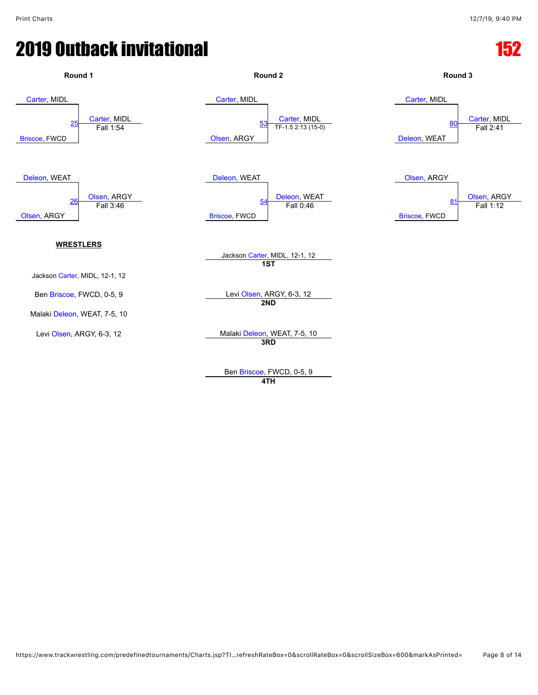

Ben [Briscoe](javascript:viewProfile(1008321132)), FWCD, 0-5, 9 **4TH**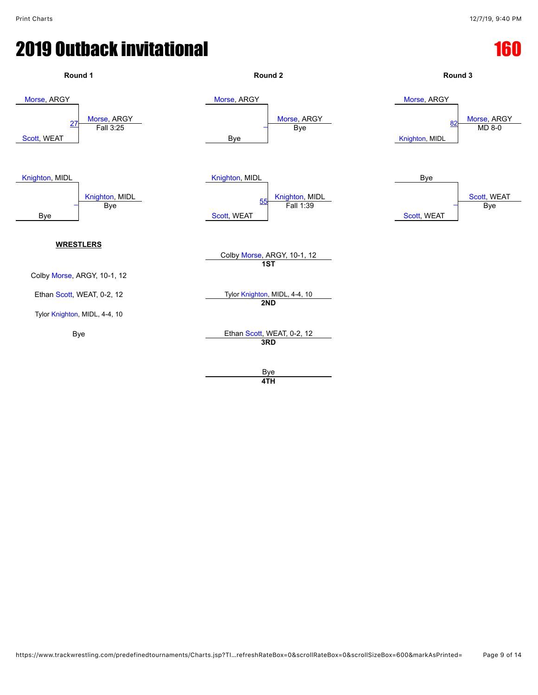### **2019 Outback invitational 160 and 160 and 160 and 160 and 160 and 160 and 160 and 160 and 160 and 160 and 160**

![](_page_8_Figure_3.jpeg)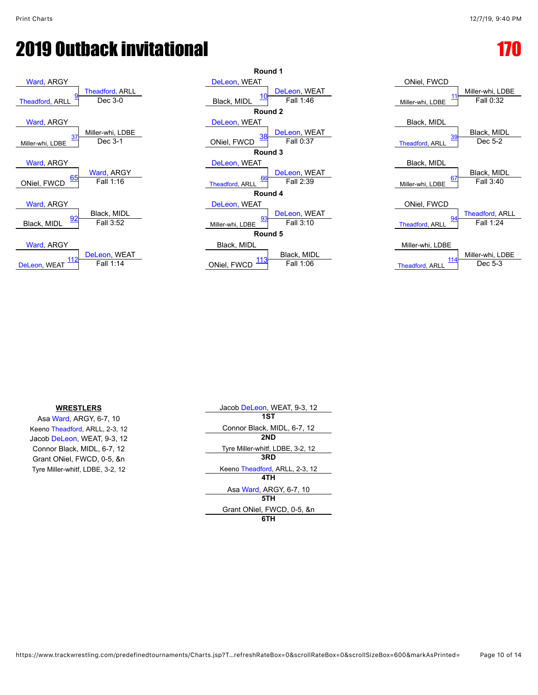![](_page_9_Figure_4.jpeg)

![](_page_9_Figure_5.jpeg)

| ONiel, FWCD            |                  |
|------------------------|------------------|
| 11                     | Miller-whi, LDBE |
| Miller-whi, LDBE       | Fall 0:32        |
| Black, MIDL            |                  |
| 39                     | Black, MIDL      |
| <b>Theadford, ARLL</b> | Dec 5-2          |
| Black, MIDL            |                  |
| 67                     | Black, MIDL      |
| Miller-whi, LDBE       | Fall 3:40        |
| ONiel, FWCD            |                  |
| <u>94</u>              | Theadford, ARLL  |
| <b>Theadford, ARLL</b> | Fall 1:24        |
| Miller-whi, LDBE       |                  |
| 114                    | Miller-whi, LDBE |
| <b>Theadford, ARLL</b> | Dec 5-3          |

### **WRESTLERS**

Asa [Ward,](javascript:viewProfile(73086009)) ARGY, 6-7, 10 Keeno [Theadford,](javascript:viewProfile(616246132)) ARLL, 2-3, 12 Jacob [DeLeon,](javascript:viewProfile(324264009)) WEAT, 9-3, 12 Connor Black, MIDL, 6-7, 12 Grant ONiel, FWCD, 0-5, &n Tyre Miller-whitf, LDBE, 3-2, 12

| Jacob DeLeon, WEAT, 9-3, 12      |
|----------------------------------|
| 1ST                              |
| Connor Black, MIDL, 6-7, 12      |
| 2ND                              |
| Tyre Miller-whitf, LDBE, 3-2, 12 |
| 3RD                              |
| Keeno Theadford, ARLL, 2-3, 12   |
| 4TH                              |
| Asa Ward, ARGY, 6-7, 10          |
| 5TH                              |
| Grant ONiel, FWCD, 0-5, &n       |
| 6TH                              |
|                                  |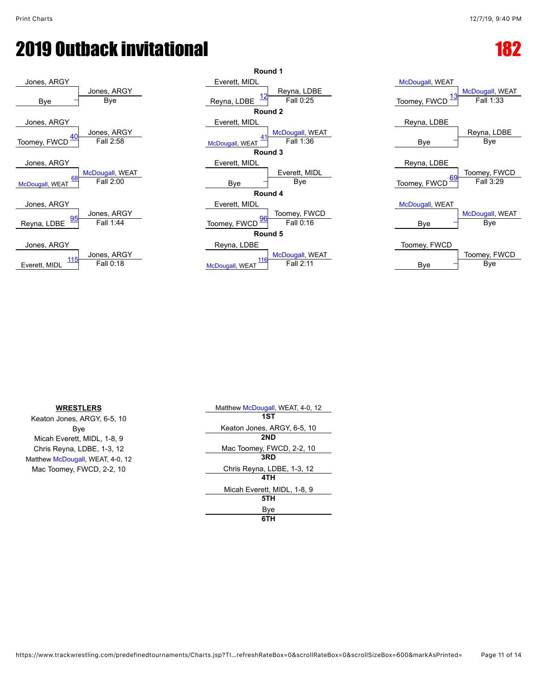![](_page_10_Figure_3.jpeg)

![](_page_10_Figure_4.jpeg)

![](_page_10_Figure_5.jpeg)

| Matthew McDougall, WEAT, 4-0, 12 |
|----------------------------------|
| 1ST                              |
| Keaton Jones, ARGY, 6-5, 10      |
| 2ND                              |
| Mac Toomey, FWCD, 2-2, 10        |
| 3RD                              |
| Chris Reyna, LDBE, 1-3, 12       |
| 4TH                              |
| Micah Everett, MIDL, 1-8, 9      |
| 5TH                              |
| Bye                              |
| 6TH                              |
|                                  |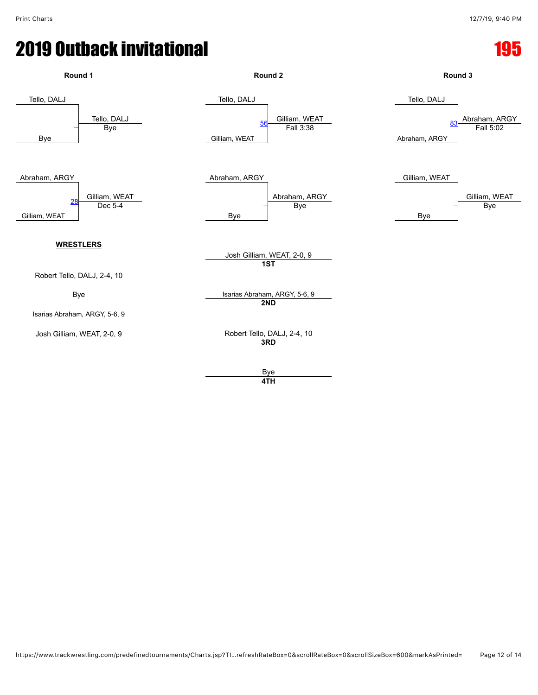![](_page_11_Figure_3.jpeg)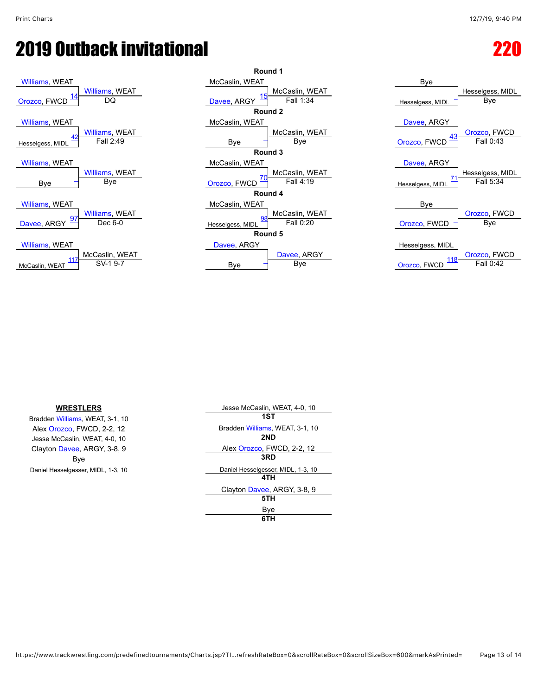![](_page_12_Figure_3.jpeg)

| <b>UIDZCO, FWULL</b>     | ◡                     | Davee ARGT       |
|--------------------------|-----------------------|------------------|
|                          |                       | Б                |
| <b>Williams, WEAT</b>    |                       | McCaslin, WE/    |
|                          | <b>Williams, WEAT</b> |                  |
| 42<br>Hesselgess, MIDL   | Fall 2:49             | Bye              |
|                          |                       | F                |
| <b>Williams, WEAT</b>    |                       | McCaslin, WE/    |
|                          | <b>Williams, WEAT</b> |                  |
| Bye                      | Bye                   | Orozco, FWCD     |
|                          |                       | Б                |
| Williams, WEAT           |                       | McCaslin, WE     |
|                          | <b>Williams, WEAT</b> |                  |
| <u>97</u><br>Davee, ARGY | Dec 6-0               | Hesselgess, MIDL |
|                          |                       | Б                |
| Williams, WEAT           |                       | Davee, ARGY      |
| 117                      | McCaslin, WEAT        |                  |
| McCaslin, WEAT           | SV-1 9-7              | Bye              |

|              |                  | Round 1        |                    |               |
|--------------|------------------|----------------|--------------------|---------------|
|              | McCaslin, WEAT   |                | Bye                |               |
| iams, WEAT   |                  | McCaslin, WEAT |                    | Hesselgess, N |
| DQ           | Davee, ARGY      | Fall 1:34      | Hesselgess, MIDL   | Bye           |
|              |                  | Round 2        |                    |               |
|              | McCaslin, WEAT   |                | Davee, ARGY        |               |
| iams, WEAT   |                  | McCaslin, WEAT |                    | Orozco, FW    |
| Fall 2:49    | Bye              | Bye            | 43<br>Orozco, FWCD | Fall 0:43     |
|              |                  | Round 3        |                    |               |
|              | McCaslin, WEAT   |                | Davee, ARGY        |               |
| iams, WEAT   |                  | McCaslin, WEAT |                    | Hesselgess, M |
| Bye          | Orozco, FWCD     | Fall 4:19      | Hesselgess, MIDL   | Fall 5:34     |
|              |                  | Round 4        |                    |               |
|              | McCaslin, WEAT   |                | Bye                |               |
| iams, WEAT   | 98               | McCaslin, WEAT |                    | Orozco, FW    |
| Dec 6-0      | Hesselgess, MIDL | Fall 0:20      | Orozco, FWCD       | Bye           |
|              |                  | Round 5        |                    |               |
|              | Davee, ARGY      |                | Hesselgess, MIDL   |               |
| ≿aslin, WEAT |                  | Davee, ARGY    | 118                | Orozco, FW    |
| SV-1 9-7     | Bye              | Bye            | Orozco, FWCD       | Fall $0:42$   |
|              |                  |                |                    |               |

![](_page_12_Figure_6.jpeg)

| <b>WRESTLERS</b>                   | Jesse McCaslin, WEAT, 4-0, 10      |
|------------------------------------|------------------------------------|
| Bradden Williams, WEAT, 3-1, 10    | 1ST                                |
| Alex Orozco, FWCD, 2-2, 12         | Bradden Williams, WEAT, 3-1, 10    |
| Jesse McCaslin, WEAT, 4-0, 10      | 2ND                                |
| Clayton Davee, ARGY, 3-8, 9        | Alex Orozco, FWCD, 2-2, 12         |
| Bye                                | 3RD                                |
| Daniel Hesselgesser, MIDL, 1-3, 10 | Daniel Hesselgesser, MIDL, 1-3, 10 |
|                                    | 4TH                                |
|                                    | Clayton Davee, ARGY, 3-8, 9        |
|                                    | 5TH                                |
|                                    | Bye                                |

| Bradden Williams, WEAT, 3-1, 10    |
|------------------------------------|
| 2ND                                |
| Alex Orozco, FWCD, 2-2, 12         |
| 3RD                                |
| Daniel Hesselgesser, MIDL, 1-3, 10 |
| 4TH                                |
| Clayton Davee, ARGY, 3-8, 9        |
| 5TH                                |
| Bve                                |